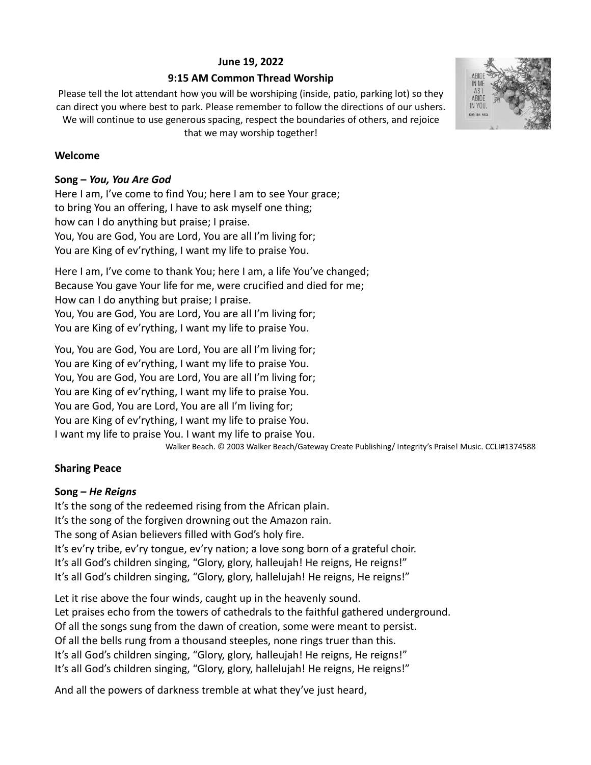### **June 19, 2022**

### **9:15 AM Common Thread Worship**

Please tell the lot attendant how you will be worshiping (inside, patio, parking lot) so they can direct you where best to park. Please remember to follow the directions of our ushers. We will continue to use generous spacing, respect the boundaries of others, and rejoice

that we may worship together!

## **Welcome**

### **Song –** *You, You Are God*

Here I am, I've come to find You; here I am to see Your grace; to bring You an offering, I have to ask myself one thing; how can I do anything but praise; I praise. You, You are God, You are Lord, You are all I'm living for; You are King of ev'rything, I want my life to praise You.

Here I am, I've come to thank You; here I am, a life You've changed; Because You gave Your life for me, were crucified and died for me; How can I do anything but praise; I praise. You, You are God, You are Lord, You are all I'm living for; You are King of ev'rything, I want my life to praise You.

You, You are God, You are Lord, You are all I'm living for; You are King of ev'rything, I want my life to praise You. You, You are God, You are Lord, You are all I'm living for; You are King of ev'rything, I want my life to praise You. You are God, You are Lord, You are all I'm living for; You are King of ev'rything, I want my life to praise You. I want my life to praise You. I want my life to praise You.

Walker Beach. © 2003 Walker Beach/Gateway Create Publishing/ Integrity's Praise! Music. CCLI#1374588

### **Sharing Peace**

### **Song –** *He Reigns*

It's the song of the redeemed rising from the African plain. It's the song of the forgiven drowning out the Amazon rain. The song of Asian believers filled with God's holy fire. It's ev'ry tribe, ev'ry tongue, ev'ry nation; a love song born of a grateful choir. It's all God's children singing, "Glory, glory, halleujah! He reigns, He reigns!" It's all God's children singing, "Glory, glory, hallelujah! He reigns, He reigns!"

Let it rise above the four winds, caught up in the heavenly sound. Let praises echo from the towers of cathedrals to the faithful gathered underground. Of all the songs sung from the dawn of creation, some were meant to persist. Of all the bells rung from a thousand steeples, none rings truer than this. It's all God's children singing, "Glory, glory, halleujah! He reigns, He reigns!" It's all God's children singing, "Glory, glory, hallelujah! He reigns, He reigns!"

And all the powers of darkness tremble at what they've just heard,

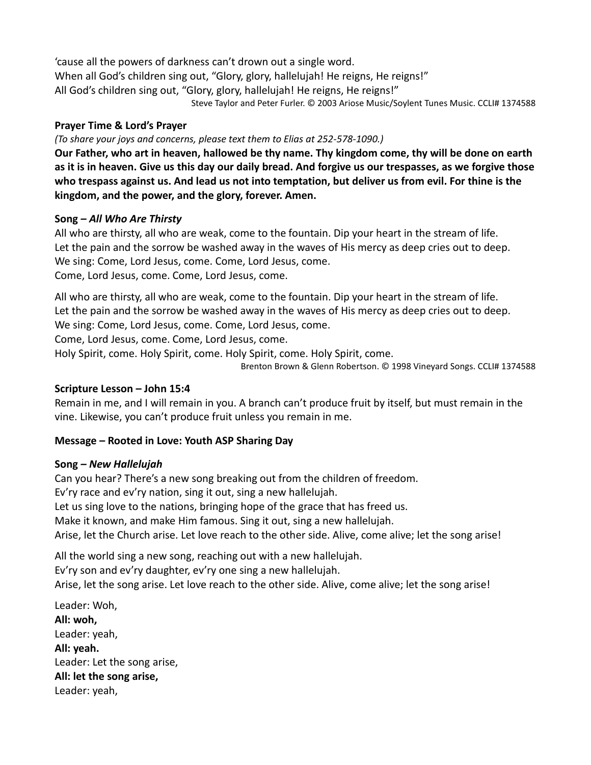'cause all the powers of darkness can't drown out a single word. When all God's children sing out, "Glory, glory, hallelujah! He reigns, He reigns!" All God's children sing out, "Glory, glory, hallelujah! He reigns, He reigns!" Steve Taylor and Peter Furler. © 2003 Ariose Music/Soylent Tunes Music. CCLI# 1374588

### **Prayer Time & Lord's Prayer**

*(To share your joys and concerns, please text them to Elias at 252-578-1090.)*

**Our Father, who art in heaven, hallowed be thy name. Thy kingdom come, thy will be done on earth as it is in heaven. Give us this day our daily bread. And forgive us our trespasses, as we forgive those who trespass against us. And lead us not into temptation, but deliver us from evil. For thine is the kingdom, and the power, and the glory, forever. Amen.**

### **Song** *– All Who Are Thirsty*

All who are thirsty, all who are weak, come to the fountain. Dip your heart in the stream of life. Let the pain and the sorrow be washed away in the waves of His mercy as deep cries out to deep. We sing: Come, Lord Jesus, come. Come, Lord Jesus, come. Come, Lord Jesus, come. Come, Lord Jesus, come.

All who are thirsty, all who are weak, come to the fountain. Dip your heart in the stream of life. Let the pain and the sorrow be washed away in the waves of His mercy as deep cries out to deep. We sing: Come, Lord Jesus, come. Come, Lord Jesus, come.

Come, Lord Jesus, come. Come, Lord Jesus, come.

Holy Spirit, come. Holy Spirit, come. Holy Spirit, come. Holy Spirit, come.

Brenton Brown & Glenn Robertson. © 1998 Vineyard Songs. CCLI# 1374588

### **Scripture Lesson – John 15:4**

Remain in me, and I will remain in you. A branch can't produce fruit by itself, but must remain in the vine. Likewise, you can't produce fruit unless you remain in me.

# **Message – Rooted in Love: Youth ASP Sharing Day**

### **Song** *– New Hallelujah*

Can you hear? There's a new song breaking out from the children of freedom. Ev'ry race and ev'ry nation, sing it out, sing a new hallelujah. Let us sing love to the nations, bringing hope of the grace that has freed us. Make it known, and make Him famous. Sing it out, sing a new hallelujah. Arise, let the Church arise. Let love reach to the other side. Alive, come alive; let the song arise!

All the world sing a new song, reaching out with a new hallelujah. Ev'ry son and ev'ry daughter, ev'ry one sing a new hallelujah. Arise, let the song arise. Let love reach to the other side. Alive, come alive; let the song arise!

Leader: Woh, **All: woh,** Leader: yeah, **All: yeah.** Leader: Let the song arise, **All: let the song arise,** Leader: yeah,